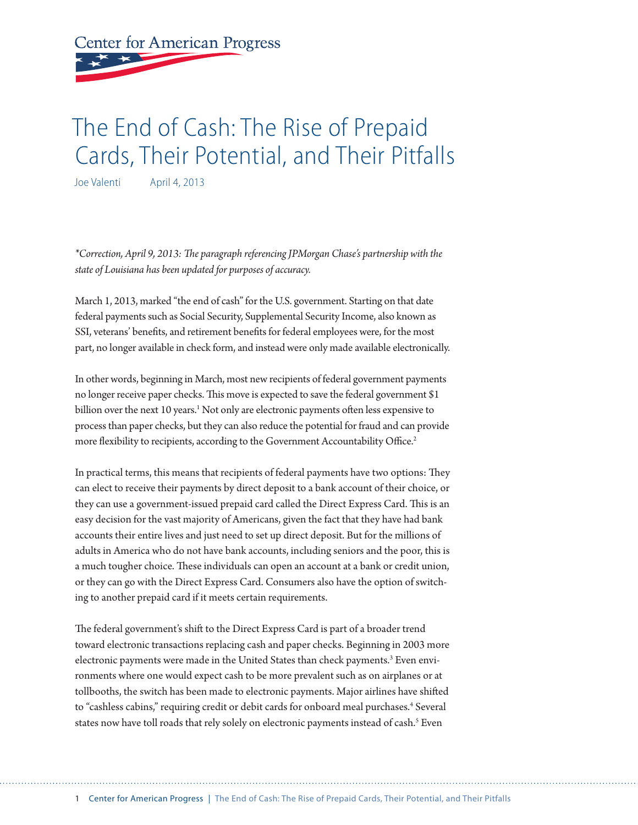**Center for American Progress** 

# The End of Cash: The Rise of Prepaid Cards, Their Potential, and Their Pitfalls

Joe Valenti April 4, 2013

*\*Correction, April 9, 2013: The paragraph referencing JPMorgan Chase's partnership with the state of Louisiana has been updated for purposes of accuracy.*

March 1, 2013, marked "the end of cash" for the U.S. government. Starting on that date federal payments such as Social Security, Supplemental Security Income, also known as SSI, veterans' benefits, and retirement benefits for federal employees were, for the most part, no longer available in check form, and instead were only made available electronically.

In other words, beginning in March, most new recipients of federal government payments no longer receive paper checks. This move is expected to save the federal government \$1 billion over the next 10 years.<sup>1</sup> Not only are electronic payments often less expensive to process than paper checks, but they can also reduce the potential for fraud and can provide more flexibility to recipients, according to the Government Accountability Office.<sup>2</sup>

In practical terms, this means that recipients of federal payments have two options: They can elect to receive their payments by direct deposit to a bank account of their choice, or they can use a government-issued prepaid card called the Direct Express Card. This is an easy decision for the vast majority of Americans, given the fact that they have had bank accounts their entire lives and just need to set up direct deposit. But for the millions of adults in America who do not have bank accounts, including seniors and the poor, this is a much tougher choice. These individuals can open an account at a bank or credit union, or they can go with the Direct Express Card. Consumers also have the option of switching to another prepaid card if it meets certain requirements.

The federal government's shift to the Direct Express Card is part of a broader trend toward electronic transactions replacing cash and paper checks. Beginning in 2003 more electronic payments were made in the United States than check payments.<sup>3</sup> Even environments where one would expect cash to be more prevalent such as on airplanes or at tollbooths, the switch has been made to electronic payments. Major airlines have shifted to "cashless cabins," requiring credit or debit cards for onboard meal purchases.<sup>4</sup> Several states now have toll roads that rely solely on electronic payments instead of cash.<sup>5</sup> Even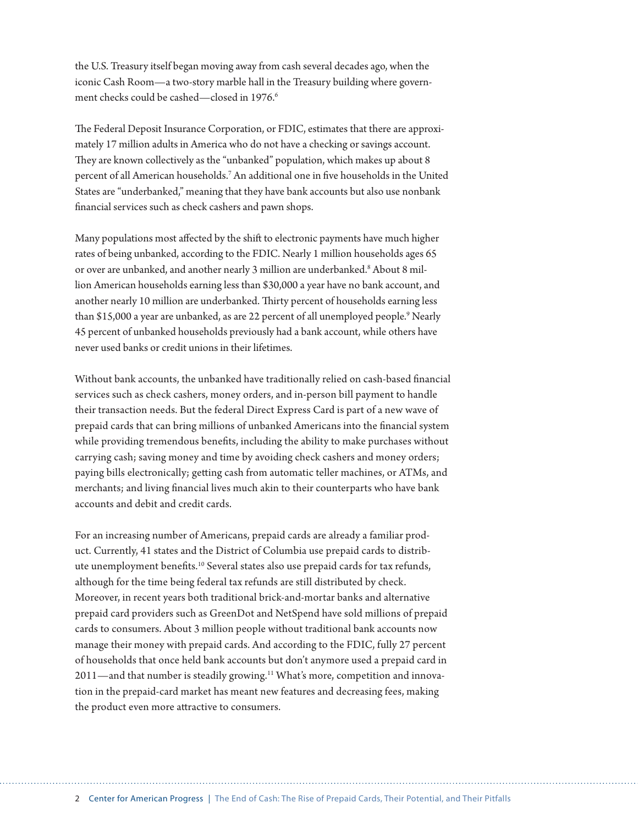the U.S. Treasury itself began moving away from cash several decades ago, when the iconic Cash Room—a two-story marble hall in the Treasury building where government checks could be cashed—closed in 1976.<sup>6</sup>

The Federal Deposit Insurance Corporation, or FDIC, estimates that there are approximately 17 million adults in America who do not have a checking or savings account. They are known collectively as the "unbanked" population, which makes up about 8 percent of all American households.<sup>7</sup> An additional one in five households in the United States are "underbanked," meaning that they have bank accounts but also use nonbank financial services such as check cashers and pawn shops.

Many populations most affected by the shift to electronic payments have much higher rates of being unbanked, according to the FDIC. Nearly 1 million households ages 65 or over are unbanked, and another nearly 3 million are underbanked.<sup>8</sup> About 8 million American households earning less than \$30,000 a year have no bank account, and another nearly 10 million are underbanked. Thirty percent of households earning less than \$15,000 a year are unbanked, as are 22 percent of all unemployed people.<sup>9</sup> Nearly 45 percent of unbanked households previously had a bank account, while others have never used banks or credit unions in their lifetimes.

Without bank accounts, the unbanked have traditionally relied on cash-based financial services such as check cashers, money orders, and in-person bill payment to handle their transaction needs. But the federal Direct Express Card is part of a new wave of prepaid cards that can bring millions of unbanked Americans into the financial system while providing tremendous benefits, including the ability to make purchases without carrying cash; saving money and time by avoiding check cashers and money orders; paying bills electronically; getting cash from automatic teller machines, or ATMs, and merchants; and living financial lives much akin to their counterparts who have bank accounts and debit and credit cards.

For an increasing number of Americans, prepaid cards are already a familiar product. Currently, 41 states and the District of Columbia use prepaid cards to distribute unemployment benefits.10 Several states also use prepaid cards for tax refunds, although for the time being federal tax refunds are still distributed by check. Moreover, in recent years both traditional brick-and-mortar banks and alternative prepaid card providers such as GreenDot and NetSpend have sold millions of prepaid cards to consumers. About 3 million people without traditional bank accounts now manage their money with prepaid cards. And according to the FDIC, fully 27 percent of households that once held bank accounts but don't anymore used a prepaid card in 2011—and that number is steadily growing.<sup>11</sup> What's more, competition and innovation in the prepaid-card market has meant new features and decreasing fees, making the product even more attractive to consumers.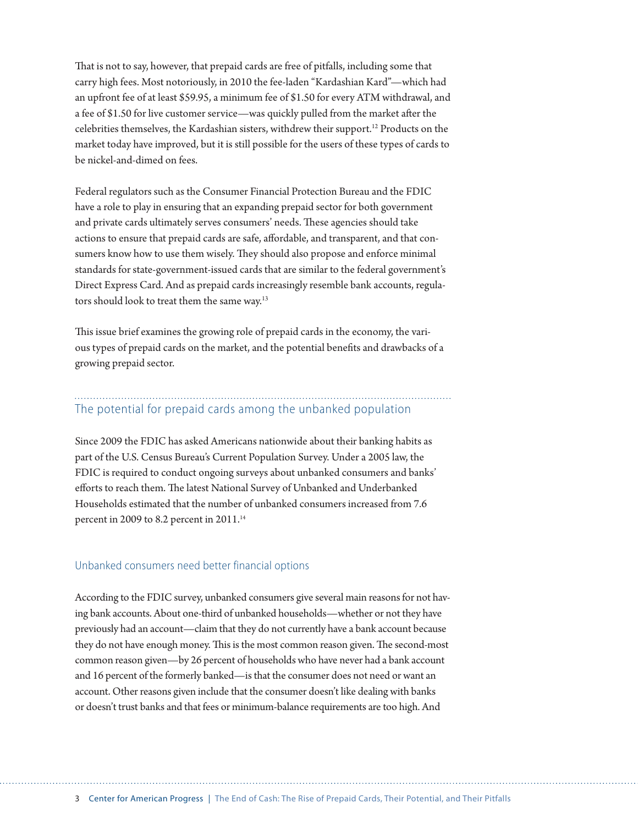That is not to say, however, that prepaid cards are free of pitfalls, including some that carry high fees. Most notoriously, in 2010 the fee-laden "Kardashian Kard"—which had an upfront fee of at least \$59.95, a minimum fee of \$1.50 for every ATM withdrawal, and a fee of \$1.50 for live customer service—was quickly pulled from the market after the celebrities themselves, the Kardashian sisters, withdrew their support.12 Products on the market today have improved, but it is still possible for the users of these types of cards to be nickel-and-dimed on fees.

Federal regulators such as the Consumer Financial Protection Bureau and the FDIC have a role to play in ensuring that an expanding prepaid sector for both government and private cards ultimately serves consumers' needs. These agencies should take actions to ensure that prepaid cards are safe, affordable, and transparent, and that consumers know how to use them wisely. They should also propose and enforce minimal standards for state-government-issued cards that are similar to the federal government's Direct Express Card. And as prepaid cards increasingly resemble bank accounts, regulators should look to treat them the same way.<sup>13</sup>

This issue brief examines the growing role of prepaid cards in the economy, the various types of prepaid cards on the market, and the potential benefits and drawbacks of a growing prepaid sector.

## The potential for prepaid cards among the unbanked population

Since 2009 the FDIC has asked Americans nationwide about their banking habits as part of the U.S. Census Bureau's Current Population Survey. Under a 2005 law, the FDIC is required to conduct ongoing surveys about unbanked consumers and banks' efforts to reach them. The latest National Survey of Unbanked and Underbanked Households estimated that the number of unbanked consumers increased from 7.6 percent in 2009 to 8.2 percent in 2011.<sup>14</sup>

#### Unbanked consumers need better financial options

According to the FDIC survey, unbanked consumers give several main reasons for not having bank accounts. About one-third of unbanked households—whether or not they have previously had an account—claim that they do not currently have a bank account because they do not have enough money. This is the most common reason given. The second-most common reason given—by 26 percent of households who have never had a bank account and 16 percent of the formerly banked—is that the consumer does not need or want an account. Other reasons given include that the consumer doesn't like dealing with banks or doesn't trust banks and that fees or minimum-balance requirements are too high. And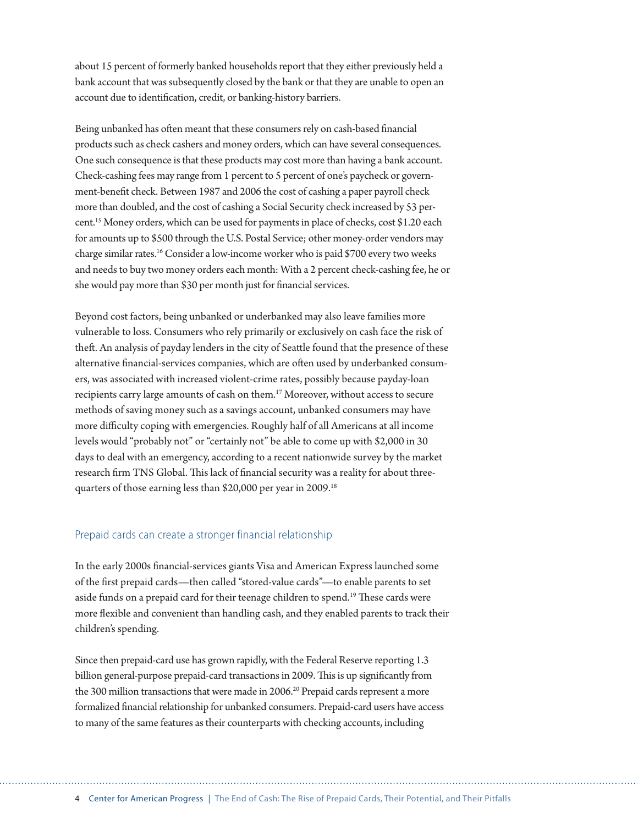about 15 percent of formerly banked households report that they either previously held a bank account that was subsequently closed by the bank or that they are unable to open an account due to identification, credit, or banking-history barriers.

Being unbanked has often meant that these consumers rely on cash-based financial products such as check cashers and money orders, which can have several consequences. One such consequence is that these products may cost more than having a bank account. Check-cashing fees may range from 1 percent to 5 percent of one's paycheck or government-benefit check. Between 1987 and 2006 the cost of cashing a paper payroll check more than doubled, and the cost of cashing a Social Security check increased by 53 percent.15 Money orders, which can be used for payments in place of checks, cost \$1.20 each for amounts up to \$500 through the U.S. Postal Service; other money-order vendors may charge similar rates.16 Consider a low-income worker who is paid \$700 every two weeks and needs to buy two money orders each month: With a 2 percent check-cashing fee, he or she would pay more than \$30 per month just for financial services.

Beyond cost factors, being unbanked or underbanked may also leave families more vulnerable to loss. Consumers who rely primarily or exclusively on cash face the risk of theft. An analysis of payday lenders in the city of Seattle found that the presence of these alternative financial-services companies, which are often used by underbanked consumers, was associated with increased violent-crime rates, possibly because payday-loan recipients carry large amounts of cash on them.17 Moreover, without access to secure methods of saving money such as a savings account, unbanked consumers may have more difficulty coping with emergencies. Roughly half of all Americans at all income levels would "probably not" or "certainly not" be able to come up with \$2,000 in 30 days to deal with an emergency, according to a recent nationwide survey by the market research firm TNS Global. This lack of financial security was a reality for about threequarters of those earning less than \$20,000 per year in 2009.18

#### Prepaid cards can create a stronger financial relationship

In the early 2000s financial-services giants Visa and American Express launched some of the first prepaid cards—then called "stored-value cards"—to enable parents to set aside funds on a prepaid card for their teenage children to spend.<sup>19</sup> These cards were more flexible and convenient than handling cash, and they enabled parents to track their children's spending.

Since then prepaid-card use has grown rapidly, with the Federal Reserve reporting 1.3 billion general-purpose prepaid-card transactions in 2009. This is up significantly from the 300 million transactions that were made in 2006.<sup>20</sup> Prepaid cards represent a more formalized financial relationship for unbanked consumers. Prepaid-card users have access to many of the same features as their counterparts with checking accounts, including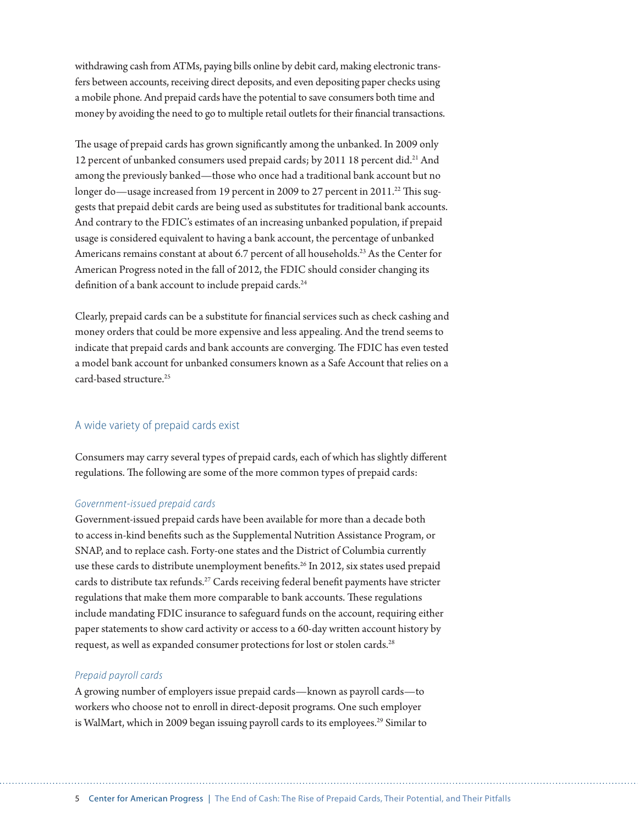withdrawing cash from ATMs, paying bills online by debit card, making electronic transfers between accounts, receiving direct deposits, and even depositing paper checks using a mobile phone. And prepaid cards have the potential to save consumers both time and money by avoiding the need to go to multiple retail outlets for their financial transactions.

The usage of prepaid cards has grown significantly among the unbanked. In 2009 only 12 percent of unbanked consumers used prepaid cards; by 2011 18 percent did.<sup>21</sup> And among the previously banked—those who once had a traditional bank account but no longer do—usage increased from 19 percent in 2009 to 27 percent in 2011.<sup>22</sup> This suggests that prepaid debit cards are being used as substitutes for traditional bank accounts. And contrary to the FDIC's estimates of an increasing unbanked population, if prepaid usage is considered equivalent to having a bank account, the percentage of unbanked Americans remains constant at about 6.7 percent of all households.<sup>23</sup> As the Center for American Progress noted in the fall of 2012, the FDIC should consider changing its definition of a bank account to include prepaid cards.<sup>24</sup>

Clearly, prepaid cards can be a substitute for financial services such as check cashing and money orders that could be more expensive and less appealing. And the trend seems to indicate that prepaid cards and bank accounts are converging. The FDIC has even tested a model bank account for unbanked consumers known as a Safe Account that relies on a card-based structure<sup>25</sup>

#### A wide variety of prepaid cards exist

Consumers may carry several types of prepaid cards, each of which has slightly different regulations. The following are some of the more common types of prepaid cards:

#### *Government-issued prepaid cards*

Government-issued prepaid cards have been available for more than a decade both to access in-kind benefits such as the Supplemental Nutrition Assistance Program, or SNAP, and to replace cash. Forty-one states and the District of Columbia currently use these cards to distribute unemployment benefits.<sup>26</sup> In 2012, six states used prepaid cards to distribute tax refunds.<sup>27</sup> Cards receiving federal benefit payments have stricter regulations that make them more comparable to bank accounts. These regulations include mandating FDIC insurance to safeguard funds on the account, requiring either paper statements to show card activity or access to a 60-day written account history by request, as well as expanded consumer protections for lost or stolen cards.28

#### *Prepaid payroll cards*

A growing number of employers issue prepaid cards—known as payroll cards—to workers who choose not to enroll in direct-deposit programs. One such employer is WalMart, which in 2009 began issuing payroll cards to its employees.<sup>29</sup> Similar to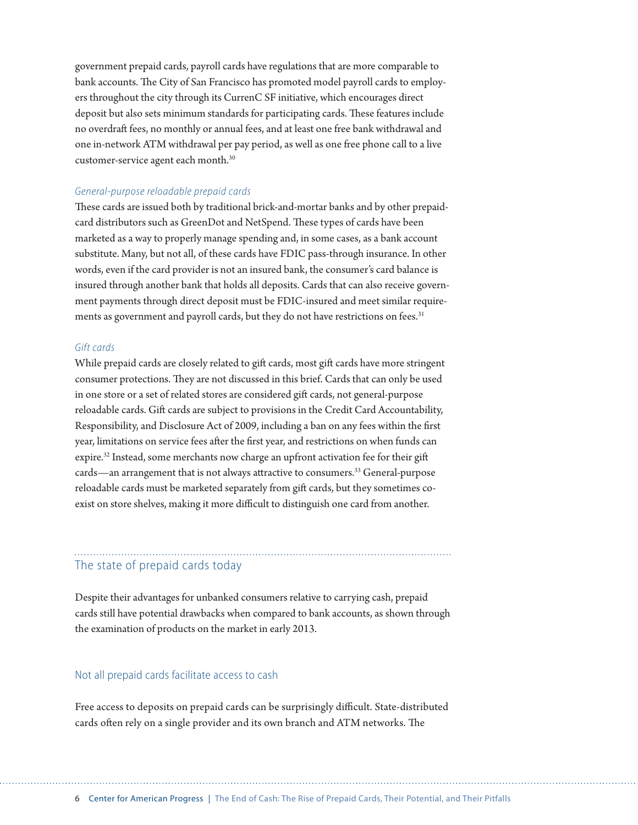government prepaid cards, payroll cards have regulations that are more comparable to bank accounts. The City of San Francisco has promoted model payroll cards to employers throughout the city through its CurrenC SF initiative, which encourages direct deposit but also sets minimum standards for participating cards. These features include no overdraft fees, no monthly or annual fees, and at least one free bank withdrawal and one in-network ATM withdrawal per pay period, as well as one free phone call to a live customer-service agent each month.30

#### *General-purpose reloadable prepaid cards*

These cards are issued both by traditional brick-and-mortar banks and by other prepaidcard distributors such as GreenDot and NetSpend. These types of cards have been marketed as a way to properly manage spending and, in some cases, as a bank account substitute. Many, but not all, of these cards have FDIC pass-through insurance. In other words, even if the card provider is not an insured bank, the consumer's card balance is insured through another bank that holds all deposits. Cards that can also receive government payments through direct deposit must be FDIC-insured and meet similar requirements as government and payroll cards, but they do not have restrictions on fees.<sup>31</sup>

#### *Gift cards*

While prepaid cards are closely related to gift cards, most gift cards have more stringent consumer protections. They are not discussed in this brief. Cards that can only be used in one store or a set of related stores are considered gift cards, not general-purpose reloadable cards. Gift cards are subject to provisions in the Credit Card Accountability, Responsibility, and Disclosure Act of 2009, including a ban on any fees within the first year, limitations on service fees after the first year, and restrictions on when funds can expire.<sup>32</sup> Instead, some merchants now charge an upfront activation fee for their gift cards—an arrangement that is not always attractive to consumers.<sup>33</sup> General-purpose reloadable cards must be marketed separately from gift cards, but they sometimes coexist on store shelves, making it more difficult to distinguish one card from another.

#### The state of prepaid cards today

Despite their advantages for unbanked consumers relative to carrying cash, prepaid cards still have potential drawbacks when compared to bank accounts, as shown through the examination of products on the market in early 2013.

#### Not all prepaid cards facilitate access to cash

Free access to deposits on prepaid cards can be surprisingly difficult. State-distributed cards often rely on a single provider and its own branch and ATM networks. The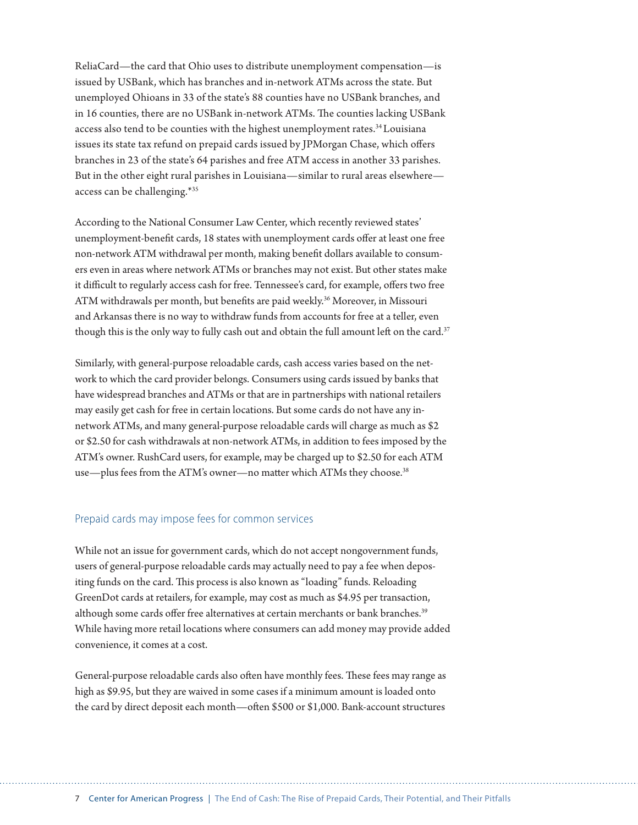ReliaCard—the card that Ohio uses to distribute unemployment compensation—is issued by USBank, which has branches and in-network ATMs across the state. But unemployed Ohioans in 33 of the state's 88 counties have no USBank branches, and in 16 counties, there are no USBank in-network ATMs. The counties lacking USBank access also tend to be counties with the highest unemployment rates.<sup>34</sup> Louisiana issues its state tax refund on prepaid cards issued by JPMorgan Chase, which offers branches in 23 of the state's 64 parishes and free ATM access in another 33 parishes. But in the other eight rural parishes in Louisiana—similar to rural areas elsewhere access can be challenging.\*35

According to the National Consumer Law Center, which recently reviewed states' unemployment-benefit cards, 18 states with unemployment cards offer at least one free non-network ATM withdrawal per month, making benefit dollars available to consumers even in areas where network ATMs or branches may not exist. But other states make it difficult to regularly access cash for free. Tennessee's card, for example, offers two free ATM withdrawals per month, but benefits are paid weekly.<sup>36</sup> Moreover, in Missouri and Arkansas there is no way to withdraw funds from accounts for free at a teller, even though this is the only way to fully cash out and obtain the full amount left on the card.<sup>37</sup>

Similarly, with general-purpose reloadable cards, cash access varies based on the network to which the card provider belongs. Consumers using cards issued by banks that have widespread branches and ATMs or that are in partnerships with national retailers may easily get cash for free in certain locations. But some cards do not have any innetwork ATMs, and many general-purpose reloadable cards will charge as much as \$2 or \$2.50 for cash withdrawals at non-network ATMs, in addition to fees imposed by the ATM's owner. RushCard users, for example, may be charged up to \$2.50 for each ATM use—plus fees from the ATM's owner—no matter which ATMs they choose.<sup>38</sup>

#### Prepaid cards may impose fees for common services

While not an issue for government cards, which do not accept nongovernment funds, users of general-purpose reloadable cards may actually need to pay a fee when depositing funds on the card. This process is also known as "loading" funds. Reloading GreenDot cards at retailers, for example, may cost as much as \$4.95 per transaction, although some cards offer free alternatives at certain merchants or bank branches.<sup>39</sup> While having more retail locations where consumers can add money may provide added convenience, it comes at a cost.

General-purpose reloadable cards also often have monthly fees. These fees may range as high as \$9.95, but they are waived in some cases if a minimum amount is loaded onto the card by direct deposit each month—often \$500 or \$1,000. Bank-account structures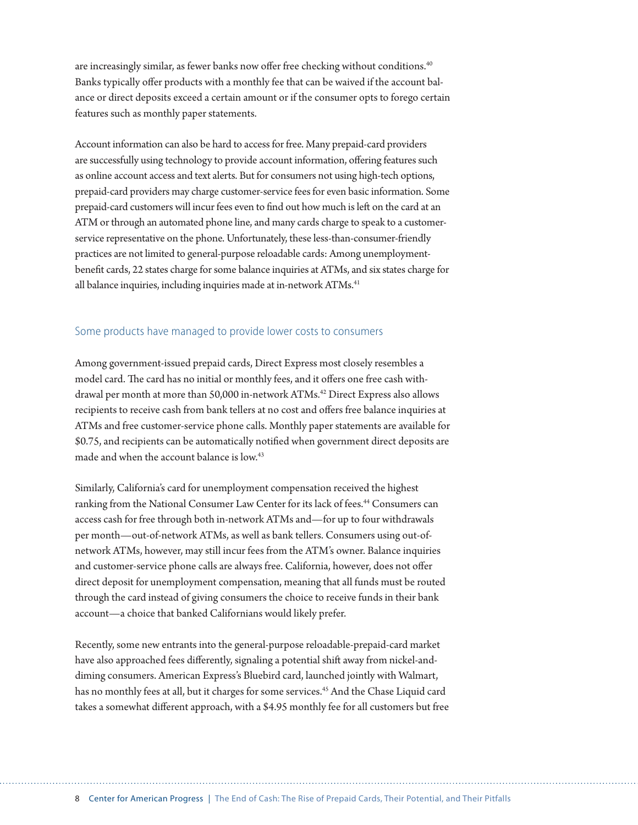are increasingly similar, as fewer banks now offer free checking without conditions.<sup>40</sup> Banks typically offer products with a monthly fee that can be waived if the account balance or direct deposits exceed a certain amount or if the consumer opts to forego certain features such as monthly paper statements.

Account information can also be hard to access for free. Many prepaid-card providers are successfully using technology to provide account information, offering features such as online account access and text alerts. But for consumers not using high-tech options, prepaid-card providers may charge customer-service fees for even basic information. Some prepaid-card customers will incur fees even to find out how much is left on the card at an ATM or through an automated phone line, and many cards charge to speak to a customerservice representative on the phone. Unfortunately, these less-than-consumer-friendly practices are not limited to general-purpose reloadable cards: Among unemploymentbenefit cards, 22 states charge for some balance inquiries at ATMs, and six states charge for all balance inquiries, including inquiries made at in-network ATMs.<sup>41</sup>

#### Some products have managed to provide lower costs to consumers

Among government-issued prepaid cards, Direct Express most closely resembles a model card. The card has no initial or monthly fees, and it offers one free cash withdrawal per month at more than 50,000 in-network ATMs.<sup>42</sup> Direct Express also allows recipients to receive cash from bank tellers at no cost and offers free balance inquiries at ATMs and free customer-service phone calls. Monthly paper statements are available for \$0.75, and recipients can be automatically notified when government direct deposits are made and when the account balance is low.<sup>43</sup>

Similarly, California's card for unemployment compensation received the highest ranking from the National Consumer Law Center for its lack of fees.<sup>44</sup> Consumers can access cash for free through both in-network ATMs and—for up to four withdrawals per month—out-of-network ATMs, as well as bank tellers. Consumers using out-ofnetwork ATMs, however, may still incur fees from the ATM's owner. Balance inquiries and customer-service phone calls are always free. California, however, does not offer direct deposit for unemployment compensation, meaning that all funds must be routed through the card instead of giving consumers the choice to receive funds in their bank account—a choice that banked Californians would likely prefer.

Recently, some new entrants into the general-purpose reloadable-prepaid-card market have also approached fees differently, signaling a potential shift away from nickel-anddiming consumers. American Express's Bluebird card, launched jointly with Walmart, has no monthly fees at all, but it charges for some services.<sup>45</sup> And the Chase Liquid card takes a somewhat different approach, with a \$4.95 monthly fee for all customers but free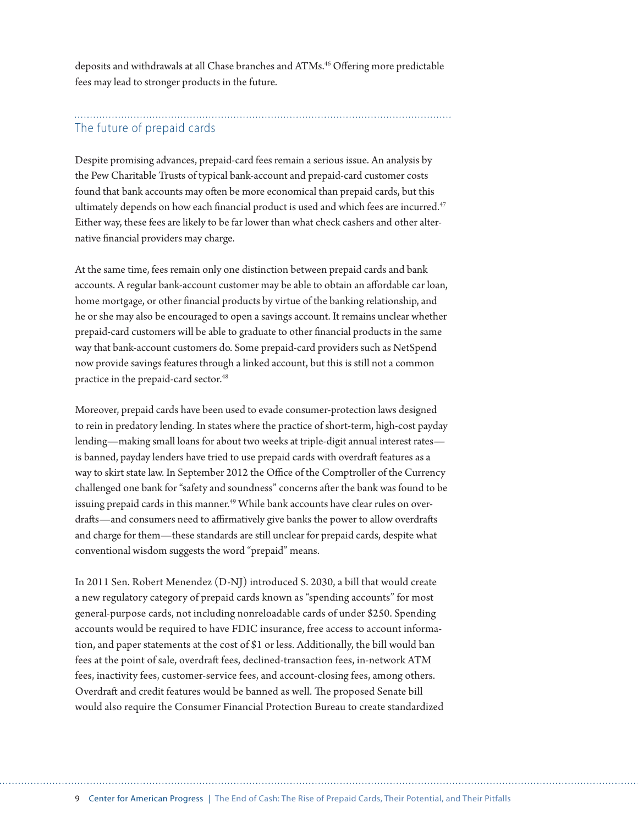deposits and withdrawals at all Chase branches and ATMs.46 Offering more predictable fees may lead to stronger products in the future.

## The future of prepaid cards

Despite promising advances, prepaid-card fees remain a serious issue. An analysis by the Pew Charitable Trusts of typical bank-account and prepaid-card customer costs found that bank accounts may often be more economical than prepaid cards, but this ultimately depends on how each financial product is used and which fees are incurred.<sup>47</sup> Either way, these fees are likely to be far lower than what check cashers and other alternative financial providers may charge.

At the same time, fees remain only one distinction between prepaid cards and bank accounts. A regular bank-account customer may be able to obtain an affordable car loan, home mortgage, or other financial products by virtue of the banking relationship, and he or she may also be encouraged to open a savings account. It remains unclear whether prepaid-card customers will be able to graduate to other financial products in the same way that bank-account customers do. Some prepaid-card providers such as NetSpend now provide savings features through a linked account, but this is still not a common practice in the prepaid-card sector.<sup>48</sup>

Moreover, prepaid cards have been used to evade consumer-protection laws designed to rein in predatory lending. In states where the practice of short-term, high-cost payday lending—making small loans for about two weeks at triple-digit annual interest rates is banned, payday lenders have tried to use prepaid cards with overdraft features as a way to skirt state law. In September 2012 the Office of the Comptroller of the Currency challenged one bank for "safety and soundness" concerns after the bank was found to be issuing prepaid cards in this manner.<sup>49</sup> While bank accounts have clear rules on overdrafts—and consumers need to affirmatively give banks the power to allow overdrafts and charge for them—these standards are still unclear for prepaid cards, despite what conventional wisdom suggests the word "prepaid" means.

In 2011 Sen. Robert Menendez (D-NJ) introduced S. 2030, a bill that would create a new regulatory category of prepaid cards known as "spending accounts" for most general-purpose cards, not including nonreloadable cards of under \$250. Spending accounts would be required to have FDIC insurance, free access to account information, and paper statements at the cost of \$1 or less. Additionally, the bill would ban fees at the point of sale, overdraft fees, declined-transaction fees, in-network ATM fees, inactivity fees, customer-service fees, and account-closing fees, among others. Overdraft and credit features would be banned as well. The proposed Senate bill would also require the Consumer Financial Protection Bureau to create standardized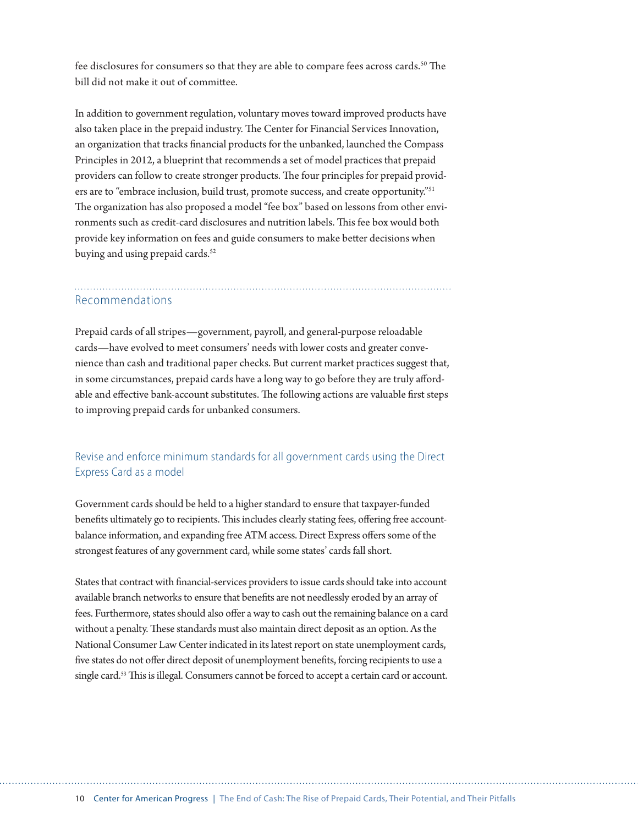fee disclosures for consumers so that they are able to compare fees across cards.50 The bill did not make it out of committee.

In addition to government regulation, voluntary moves toward improved products have also taken place in the prepaid industry. The Center for Financial Services Innovation, an organization that tracks financial products for the unbanked, launched the Compass Principles in 2012, a blueprint that recommends a set of model practices that prepaid providers can follow to create stronger products. The four principles for prepaid providers are to "embrace inclusion, build trust, promote success, and create opportunity."51 The organization has also proposed a model "fee box" based on lessons from other environments such as credit-card disclosures and nutrition labels. This fee box would both provide key information on fees and guide consumers to make better decisions when buying and using prepaid cards.<sup>52</sup>

## Recommendations

Prepaid cards of all stripes—government, payroll, and general-purpose reloadable cards—have evolved to meet consumers' needs with lower costs and greater convenience than cash and traditional paper checks. But current market practices suggest that, in some circumstances, prepaid cards have a long way to go before they are truly affordable and effective bank-account substitutes. The following actions are valuable first steps to improving prepaid cards for unbanked consumers.

## Revise and enforce minimum standards for all government cards using the Direct Express Card as a model

Government cards should be held to a higher standard to ensure that taxpayer-funded benefits ultimately go to recipients. This includes clearly stating fees, offering free accountbalance information, and expanding free ATM access. Direct Express offers some of the strongest features of any government card, while some states' cards fall short.

States that contract with financial-services providers to issue cards should take into account available branch networks to ensure that benefits are not needlessly eroded by an array of fees. Furthermore, states should also offer a way to cash out the remaining balance on a card without a penalty. These standards must also maintain direct deposit as an option. As the National Consumer Law Center indicated in its latest report on state unemployment cards, five states do not offer direct deposit of unemployment benefits, forcing recipients to use a single card.53 This is illegal. Consumers cannot be forced to accept a certain card or account.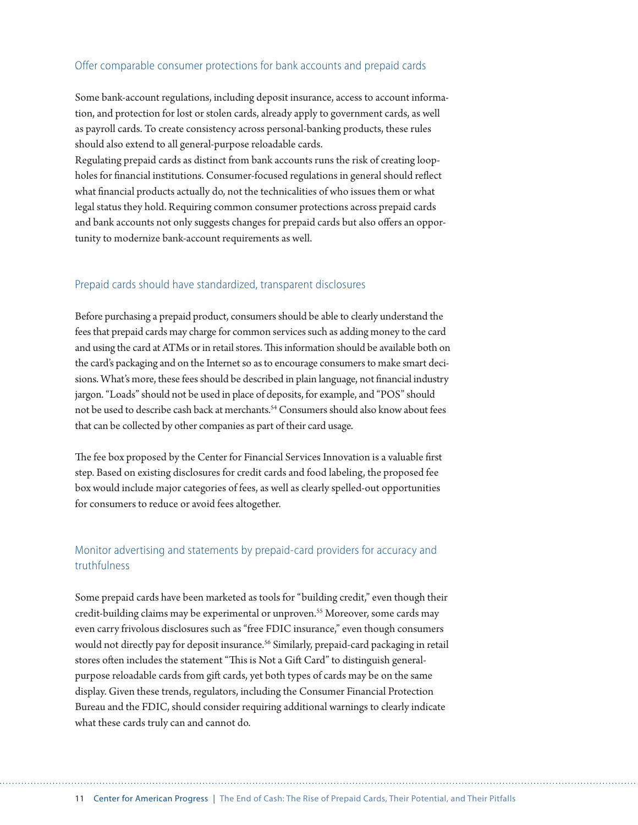#### Offer comparable consumer protections for bank accounts and prepaid cards

Some bank-account regulations, including deposit insurance, access to account information, and protection for lost or stolen cards, already apply to government cards, as well as payroll cards. To create consistency across personal-banking products, these rules should also extend to all general-purpose reloadable cards.

Regulating prepaid cards as distinct from bank accounts runs the risk of creating loopholes for financial institutions. Consumer-focused regulations in general should reflect what financial products actually do, not the technicalities of who issues them or what legal status they hold. Requiring common consumer protections across prepaid cards and bank accounts not only suggests changes for prepaid cards but also offers an opportunity to modernize bank-account requirements as well.

#### Prepaid cards should have standardized, transparent disclosures

Before purchasing a prepaid product, consumers should be able to clearly understand the fees that prepaid cards may charge for common services such as adding money to the card and using the card at ATMs or in retail stores. This information should be available both on the card's packaging and on the Internet so as to encourage consumers to make smart decisions. What's more, these fees should be described in plain language, not financial industry jargon. "Loads" should not be used in place of deposits, for example, and "POS" should not be used to describe cash back at merchants.<sup>54</sup> Consumers should also know about fees that can be collected by other companies as part of their card usage.

The fee box proposed by the Center for Financial Services Innovation is a valuable first step. Based on existing disclosures for credit cards and food labeling, the proposed fee box would include major categories of fees, as well as clearly spelled-out opportunities for consumers to reduce or avoid fees altogether.

### Monitor advertising and statements by prepaid-card providers for accuracy and truthfulness

Some prepaid cards have been marketed as tools for "building credit," even though their credit-building claims may be experimental or unproven.<sup>55</sup> Moreover, some cards may even carry frivolous disclosures such as "free FDIC insurance," even though consumers would not directly pay for deposit insurance.<sup>56</sup> Similarly, prepaid-card packaging in retail stores often includes the statement "This is Not a Gift Card" to distinguish generalpurpose reloadable cards from gift cards, yet both types of cards may be on the same display. Given these trends, regulators, including the Consumer Financial Protection Bureau and the FDIC, should consider requiring additional warnings to clearly indicate what these cards truly can and cannot do.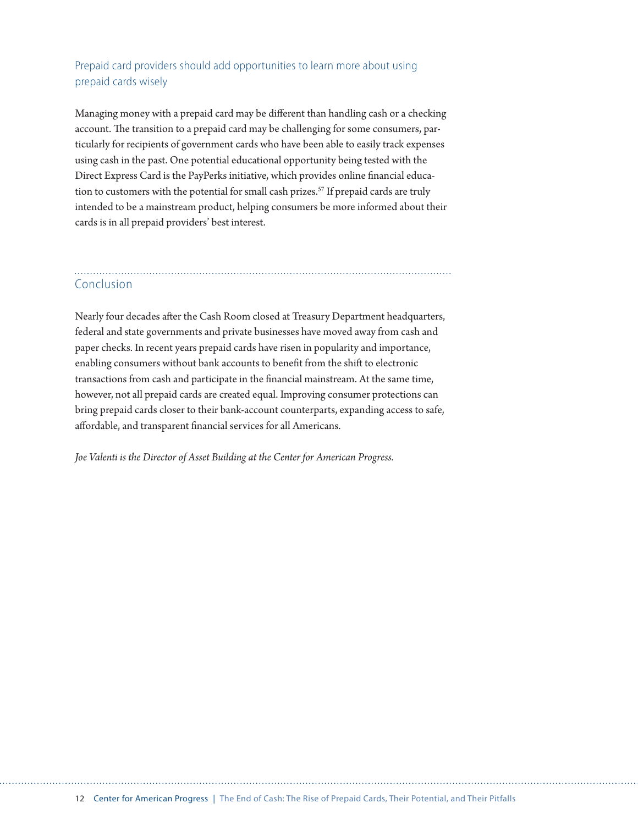### Prepaid card providers should add opportunities to learn more about using prepaid cards wisely

Managing money with a prepaid card may be different than handling cash or a checking account. The transition to a prepaid card may be challenging for some consumers, particularly for recipients of government cards who have been able to easily track expenses using cash in the past. One potential educational opportunity being tested with the Direct Express Card is the PayPerks initiative, which provides online financial education to customers with the potential for small cash prizes.<sup>57</sup> If prepaid cards are truly intended to be a mainstream product, helping consumers be more informed about their cards is in all prepaid providers' best interest.

# Conclusion

Nearly four decades after the Cash Room closed at Treasury Department headquarters, federal and state governments and private businesses have moved away from cash and paper checks. In recent years prepaid cards have risen in popularity and importance, enabling consumers without bank accounts to benefit from the shift to electronic transactions from cash and participate in the financial mainstream. At the same time, however, not all prepaid cards are created equal. Improving consumer protections can bring prepaid cards closer to their bank-account counterparts, expanding access to safe, affordable, and transparent financial services for all Americans.

*Joe Valenti is the Director of Asset Building at the Center for American Progress.*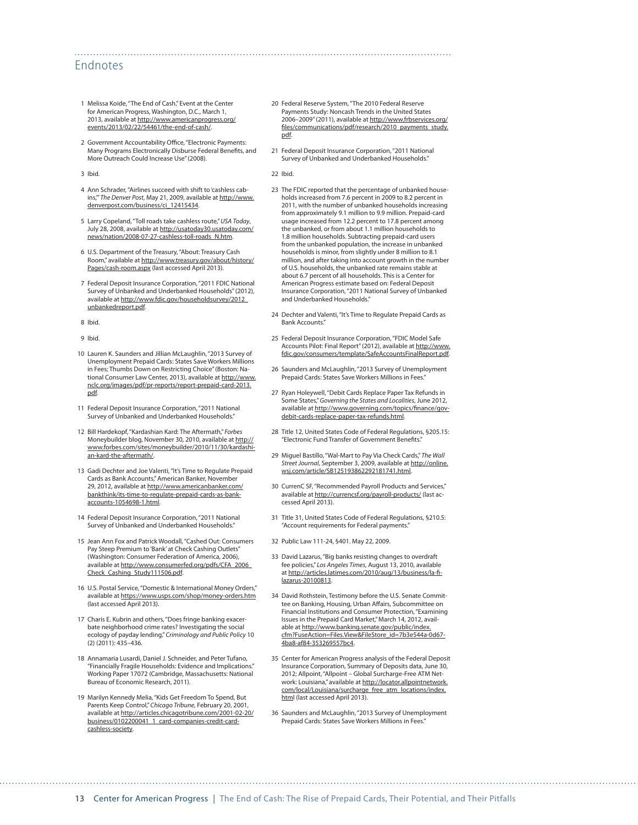#### Endnotes

- 1 Melissa Koide, "The End of Cash," Event at the Center for American Progress, Washington, D.C., March 1, 2013, available at [http://www.americanprogress.org/](http://www.americanprogress.org/events/2013/02/22/54461/the-end-of-cash/) [events/2013/02/22/54461/the-end-of-cash/](http://www.americanprogress.org/events/2013/02/22/54461/the-end-of-cash/).
- 2 Government Accountability Office, "Electronic Payments: Many Programs Electronically Disburse Federal Benefits, and More Outreach Could Increase Use" (2008).
- 3 Ibid.
- 4 Ann Schrader, "Airlines succeed with shift to 'cashless cabins,'" *The Denver Post*, May 21, 2009, available at [http://www.](http://www.denverpost.com/business/ci_12415434) [denverpost.com/business/ci\\_12415434](http://www.denverpost.com/business/ci_12415434).
- 5 Larry Copeland, "Toll roads take cashless route," *USA Today*, July 28, 2008, available at [http://usatoday30.usatoday.com/](http://usatoday30.usatoday.com/news/nation/2008-07-27-cashless-toll-roads_N.htm) [news/nation/2008-07-27-cashless-toll-roads\\_N.htm.](http://usatoday30.usatoday.com/news/nation/2008-07-27-cashless-toll-roads_N.htm)
- 6 U.S. Department of the Treasury, "About: Treasury Cash Room," available at [http://www.treasury.gov/about/history/](http://www.treasury.gov/about/history/Pages/cash-room.aspx) [Pages/cash-room.aspx](http://www.treasury.gov/about/history/Pages/cash-room.aspx) (last accessed April 2013).
- 7 Federal Deposit Insurance Corporation, "2011 FDIC National Survey of Unbanked and Underbanked Households" (2012), available at [http://www.fdic.gov/householdsurvey/2012\\_](http://www.fdic.gov/householdsurvey/2012_unbankedreport.pdf) [unbankedreport.pdf.](http://www.fdic.gov/householdsurvey/2012_unbankedreport.pdf)
- 8 Ibid.
- 9 Ibid.
- 10 Lauren K. Saunders and Jillian McLaughlin, "2013 Survey of Unemployment Prepaid Cards: States Save Workers Millions in Fees; Thumbs Down on Restricting Choice" (Boston: National Consumer Law Center, 2013), available at [http://www.](http://www.nclc.org/images/pdf/pr-reports/report-prepaid-card-2013.pdf) [nclc.org/images/pdf/pr-reports/report-prepaid-card-2013.](http://www.nclc.org/images/pdf/pr-reports/report-prepaid-card-2013.pdf) [pdf](http://www.nclc.org/images/pdf/pr-reports/report-prepaid-card-2013.pdf).
- 11 Federal Deposit Insurance Corporation, "2011 National Survey of Unbanked and Underbanked Households."
- 12 Bill Hardekopf, "Kardashian Kard: The Aftermath," *Forbes*  Moneybuilder blog, November 30, 2010, available at [http://](http://www.forbes.com/sites/moneybuilder/2010/11/30/kardashian-kard-the-aftermath/) [www.forbes.com/sites/moneybuilder/2010/11/30/kardashi](http://www.forbes.com/sites/moneybuilder/2010/11/30/kardashian-kard-the-aftermath/)[an-kard-the-aftermath/](http://www.forbes.com/sites/moneybuilder/2010/11/30/kardashian-kard-the-aftermath/).
- 13 Gadi Dechter and Joe Valenti, "It's Time to Regulate Prepaid Cards as Bank Accounts," American Banker, November 29, 2012, available at [http://www.americanbanker.com/](http://www.americanbanker.com/bankthink/its-time-to-regulate-prepaid-cards-as-bank-accounts-1054698-1.html) [bankthink/its-time-to-regulate-prepaid-cards-as-bank](http://www.americanbanker.com/bankthink/its-time-to-regulate-prepaid-cards-as-bank-accounts-1054698-1.html)[accounts-1054698-1.html.](http://www.americanbanker.com/bankthink/its-time-to-regulate-prepaid-cards-as-bank-accounts-1054698-1.html)
- 14 Federal Deposit Insurance Corporation, "2011 National Survey of Unbanked and Underbanked Households."
- 15 Jean Ann Fox and Patrick Woodall, "Cashed Out: Consumers Pay Steep Premium to 'Bank' at Check Cashing Outlets" (Washington: Consumer Federation of America, 2006), available at [http://www.consumerfed.org/pdfs/CFA\\_2006\\_](http://www.consumerfed.org/pdfs/CFA_2006_Check_Cashing_Study111506.pdf) [Check\\_Cashing\\_Study111506.pdf.](http://www.consumerfed.org/pdfs/CFA_2006_Check_Cashing_Study111506.pdf)
- 16 U.S. Postal Service, "Domestic & International Money Orders," available at<https://www.usps.com/shop/money-orders.htm> (last accessed April 2013).
- 17 Charis E. Kubrin and others, "Does fringe banking exacerbate neighborhood crime rates? Investigating the social ecology of payday lending," *Criminology and Public Policy* 10 (2) (2011): 435–436.
- 18 Annamaria Lusardi, Daniel J. Schneider, and Peter Tufano, "Financially Fragile Households: Evidence and Implications." Working Paper 17072 (Cambridge, Massachusetts: National Bureau of Economic Research, 2011).
- 19 Marilyn Kennedy Melia, "Kids Get Freedom To Spend, But Parents Keep Control," *Chicago Tribune*, February 20, 2001, available at [http://articles.chicagotribune.com/2001-02-20/](http://articles.chicagotribune.com/2001-02-20/business/0102200041_1_card-companies-credit-card-cashless-society) [business/0102200041\\_1\\_card-companies-credit-card](http://articles.chicagotribune.com/2001-02-20/business/0102200041_1_card-companies-credit-card-cashless-society)[cashless-society](http://articles.chicagotribune.com/2001-02-20/business/0102200041_1_card-companies-credit-card-cashless-society).
- 20 Federal Reserve System, "The 2010 Federal Reserve Payments Study: Noncash Trends in the United States 2006–2009" (2011), available at [http://www.frbservices.org/](http://www.frbservices.org/files/communications/pdf/research/2010_payments_study.pdf) [files/communications/pdf/research/2010\\_payments\\_study.](http://www.frbservices.org/files/communications/pdf/research/2010_payments_study.pdf) [pdf](http://www.frbservices.org/files/communications/pdf/research/2010_payments_study.pdf).
- 21 Federal Deposit Insurance Corporation, "2011 National Survey of Unbanked and Underbanked Households."
- 22 Ibid.

- 23 The FDIC reported that the percentage of unbanked households increased from 7.6 percent in 2009 to 8.2 percent in 2011, with the number of unbanked households increasing from approximately 9.1 million to 9.9 million. Prepaid-card usage increased from 12.2 percent to 17.8 percent among the unbanked, or from about 1.1 million households to 1.8 million households. Subtracting prepaid-card users from the unbanked population, the increase in unbanked households is minor, from slightly under 8 million to 8.1 million, and after taking into account growth in the number of U.S. households, the unbanked rate remains stable at about 6.7 percent of all households. This is a Center for American Progress estimate based on: Federal Deposit Insurance Corporation, "2011 National Survey of Unbanked and Underbanked Households."
- 24 Dechter and Valenti, "It's Time to Regulate Prepaid Cards as Bank Accounts."
- 25 Federal Deposit Insurance Corporation, "FDIC Model Safe Accounts Pilot: Final Report" (2012), available at [http://www.](http://www.fdic.gov/consumers/template/SafeAccountsFinalReport.pdf) [fdic.gov/consumers/template/SafeAccountsFinalReport.pdf.](http://www.fdic.gov/consumers/template/SafeAccountsFinalReport.pdf)
- 26 Saunders and McLaughlin, "2013 Survey of Unemployment Prepaid Cards: States Save Workers Millions in Fees."
- 27 Ryan Holeywell, "Debit Cards Replace Paper Tax Refunds in Some States," *Governing the States and Localities*, June 2012, available at [http://www.governing.com/topics/finance/gov](http://www.governing.com/topics/finance/gov-debit-cards-replace-paper-tax-refunds.html)[debit-cards-replace-paper-tax-refunds.html.](http://www.governing.com/topics/finance/gov-debit-cards-replace-paper-tax-refunds.html)
- 28 Title 12, United States Code of Federal Regulations, §205.15: "Electronic Fund Transfer of Government Benefits."
- 29 Miguel Bastillo, "Wal-Mart to Pay Via Check Cards," *The Wall Street Journal*, September 3, 2009, available at [http://online.](http://online.wsj.com/article/SB125193862292181741.html) [wsj.com/article/SB125193862292181741.html](http://online.wsj.com/article/SB125193862292181741.html).
- 30 CurrenC SF, "Recommended Payroll Products and Services," available at<http://currencsf.org/payroll-products/> (last accessed April 2013).
- 31 Title 31, United States Code of Federal Regulations, §210.5: "Account requirements for Federal payments."
- 32 Public Law 111-24, §401. May 22, 2009.
- 33 David Lazarus, "Big banks resisting changes to overdraft fee policies," *Los Angeles Times*, August 13, 2010, available at [http://articles.latimes.com/2010/aug/13/business/la-fi](http://articles.latimes.com/2010/aug/13/business/la-fi-lazarus-20100813)[lazarus-20100813.](http://articles.latimes.com/2010/aug/13/business/la-fi-lazarus-20100813)
- 34 David Rothstein, Testimony before the U.S. Senate Committee on Banking, Housing, Urban Affairs, Subcommittee on Financial Institutions and Consumer Protection, "Examining Issues in the Prepaid Card Market," March 14, 2012, available at [http://www.banking.senate.gov/public/index.](http://www.banking.senate.gov/public/index.cfm?FuseAction=Files.View&FileStore_id=7b3e544a-0d67-4ba8-af84-353269557bc4) [cfm?FuseAction=Files.View&FileStore\\_id=7b3e544a-0d67-](http://www.banking.senate.gov/public/index.cfm?FuseAction=Files.View&FileStore_id=7b3e544a-0d67-4ba8-af84-353269557bc4) [4ba8-af84-353269557bc4](http://www.banking.senate.gov/public/index.cfm?FuseAction=Files.View&FileStore_id=7b3e544a-0d67-4ba8-af84-353269557bc4).
- 35 Center for American Progress analysis of the Federal Deposit Insurance Corporation, Summary of Deposits data, June 30, 2012; Allpoint, "Allpoint – Global Surcharge-Free ATM Network: Louisiana," available at [http://locator.allpointnetwork.](http://locator.allpointnetwork.com/local/Louisiana/surcharge_free_atm_locations/index.htm) [com/local/Louisiana/surcharge\\_free\\_atm\\_locations/index.](http://locator.allpointnetwork.com/local/Louisiana/surcharge_free_atm_locations/index.htm) [htm](http://locator.allpointnetwork.com/local/Louisiana/surcharge_free_atm_locations/index.htm)l (last accessed April 2013).
- 36 Saunders and McLaughlin, "2013 Survey of Unemployment Prepaid Cards: States Save Workers Millions in Fees."